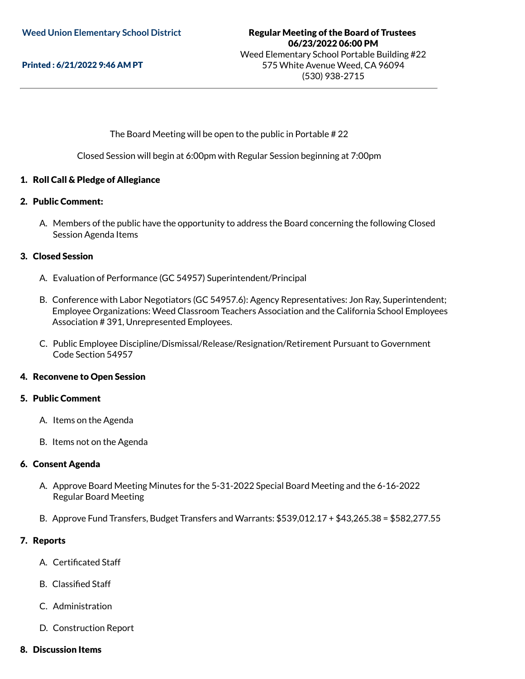Printed : 6/21/2022 9:46 AM PT

### The Board Meeting will be open to the public in Portable # 22

Closed Session will begin at 6:00pm with Regular Session beginning at 7:00pm

#### 1. Roll Call & Pledge of Allegiance

#### 2. Public Comment:

A. Members of the public have the opportunity to address the Board concerning the following Closed Session Agenda Items

#### 3. Closed Session

- A. Evaluation of Performance (GC 54957) Superintendent/Principal
- B. Conference with Labor Negotiators (GC 54957.6): Agency Representatives: Jon Ray, Superintendent; Employee Organizations: Weed Classroom Teachers Association and the California School Employees Association # 391, Unrepresented Employees.
- C. Public Employee Discipline/Dismissal/Release/Resignation/Retirement Pursuant to Government Code Section 54957

#### 4. Reconvene to Open Session

#### 5. Public Comment

- A. Items on the Agenda
- B. Items not on the Agenda

#### 6. Consent Agenda

- A. Approve Board Meeting Minutes for the 5-31-2022 Special Board Meeting and the 6-16-2022 Regular Board Meeting
- B. Approve Fund Transfers, Budget Transfers and Warrants: \$539,012.17 + \$43,265.38 = \$582,277.55

#### 7. Reports

- A. Certificated Staff
- B. Classified Staff
- C. Administration
- D. Construction Report
- 8. Discussion Items